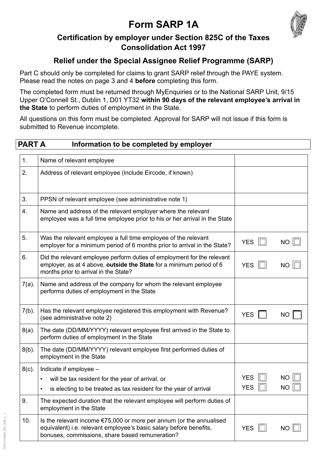# **Form SARP 1A**



# **Certification by employer under Section 825C of the Taxes Consolidation Act 1997**

# **Relief under the Special Assignee Relief Programme (SARP)**

Part C should only be completed for claims to grant SARP relief through the PAYE system. Please read the notes on page 3 and 4 **before** completing this form.

The completed form must be returned through MyEnquiries or to the National SARP Unit, 9/15 Upper O'Connell St., Dublin 1, D01 YT32 **within 90 days of the relevant employee's arrival in the State** to perform duties of employment in the State.

All questions on this form must be completed. Approval for SARP will not issue if this form is submitted to Revenue incomplete.

| PART A   | Information to be completed by employer                                                                                                                                                         |            |             |
|----------|-------------------------------------------------------------------------------------------------------------------------------------------------------------------------------------------------|------------|-------------|
| 1.       | Name of relevant employee                                                                                                                                                                       |            |             |
| 2.       | Address of relevant employee (include Eircode, if known)                                                                                                                                        |            |             |
| 3.       | PPSN of relevant employee (see administrative note 1)                                                                                                                                           |            |             |
| 4.       | Name and address of the relevant employer where the relevant<br>employee was a full time employee prior to his or her arrival in the State                                                      |            |             |
| 5.       | Was the relevant employee a full time employee of the relevant<br>employer for a minimum period of 6 months prior to arrival in the State?                                                      | <b>YES</b> | $NO$ $\Box$ |
| 6.       | Did the relevant employee perform duties of employment for the relevant<br>employer, as at 4 above, outside the State for a minimum period of 6<br>months prior to arrival in the State?        | <b>YES</b> | $NO$ $\Box$ |
| 7(a).    | Name and address of the company for whom the relevant employee<br>performs duties of employment in the State                                                                                    |            |             |
| $7(b)$ . | Has the relevant employee registered this employment with Revenue?<br>(see administrative note 2)                                                                                               | <b>YES</b> | NO          |
| $8(a)$ . | The date (DD/MM/YYYY) relevant employee first arrived in the State to<br>perform duties of employment in the State                                                                              |            |             |
| $8(b)$ . | The date (DD/MM/YYYY) relevant employee first performed duties of<br>employment in the State                                                                                                    |            |             |
| $8(c)$ . | Indicate if employee -                                                                                                                                                                          |            |             |
|          | will be tax resident for the year of arrival, or                                                                                                                                                | <b>YES</b> | NO $\Box$   |
|          | is electing to be treated as tax resident for the year of arrival                                                                                                                               | YES $\Box$ | $NO \Box$   |
| 9.       | The expected duration that the relevant employee will perform duties of<br>employment in the State                                                                                              |            |             |
| 10.      | Is the relevant income $E$ 75,000 or more per annum (or the annualised<br>equivalent) i.e. relevant employee's basic salary before benefits,<br>bonuses, commissions, share based remuneration? | YES        | NO          |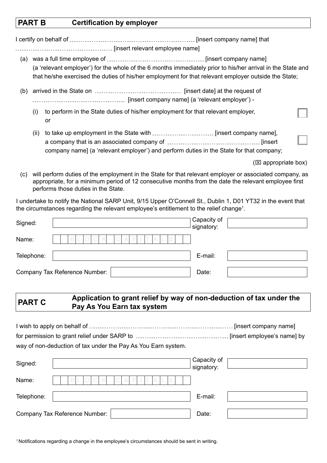#### **PART B Certification by employer**

I certify on behalf of  $\ldots$  is contained an example company name that company name that

[insert relevant employee name]

- (a) was a full time employee of  $[1, 1, 1]$  [insert company name] (a 'relevant employer') for the whole of the 6 months immediately prior to his/her arrival in the State and that he/she exercised the duties of his/her employment for that relevant employer outside the State;
- (b) arrived in the State on [insert date] at the request of [insert company name] (a 'relevant employer') -
	- (i) to perform in the State duties of his/her employment for that relevant employer, or
	- (ii) to take up employment in the State with [insert company name], a company that is an associated company of [insert company name] (a 'relevant employer') and perform duties in the State for that company;

 $(\boxtimes$  appropriate box)

(c) will perform duties of the employment in the State for that relevant employer or associated company, as appropriate, for a minimum period of 12 consecutive months from the date the relevant employee first performs those duties in the State.

I undertake to notify the National SARP Unit, 9/15 Upper O'Connell St., Dublin 1, D01 YT32 in the event that the circumstances regarding the relevant employee's entitlement to the relief change<sup>1</sup>.

| Signed:                       |                                                    | Capacity of<br>signatory: |  |
|-------------------------------|----------------------------------------------------|---------------------------|--|
| Name:                         | $\bigcap$<br>C<br>$\triangle$<br>$\mathbb{C}$<br>P |                           |  |
| Telephone:                    |                                                    | E-mail:                   |  |
| Company Tax Reference Number: |                                                    | Date:                     |  |

#### **PART C Application to grant relief by way of non-deduction of tax under the Pay As You Earn tax system**

I wish to apply on behalf of [insert company name] for permission to grant relief under SARP to [insert employee's name] by way of non-deduction of tax under the Pay As You Earn system.

| Signed:    |                               | Capacity of<br>signatory: |  |
|------------|-------------------------------|---------------------------|--|
| Name:      | C                             |                           |  |
| Telephone: |                               | E-mail:                   |  |
|            | Company Tax Reference Number: | Date:                     |  |

<sup>1</sup>Notifications regarding a change in the employee's circumstances should be sent in writing.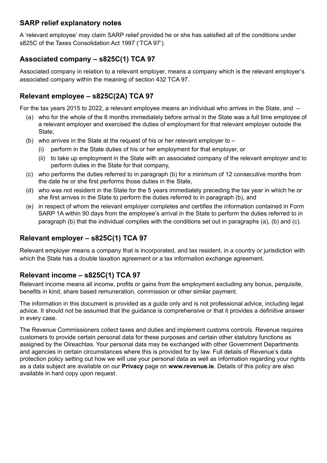#### **SARP relief explanatory notes**

A 'relevant employee' may claim SARP relief provided he or she has satisfied all of the conditions under s825C of the Taxes Consolidation Act 1997 ('TCA 97').

## **Associated company – s825C(1) TCA 97**

Associated company in relation to a relevant employer, means a company which is the relevant employer's associated company within the meaning of section 432 TCA 97.

### **Relevant employee – s825C(2A) TCA 97**

For the tax years 2015 to 2022, a relevant employee means an individual who arrives in the State, and –

- (a) who for the whole of the 6 months immediately before arrival in the State was a full time employee of a relevant employer and exercised the duties of employment for that relevant employer outside the State,
- (b) who arrives in the State at the request of his or her relevant employer to
	- (i) perform in the State duties of his or her employment for that employer, or
	- (ii) to take up employment in the State with an associated company of the relevant employer and to perform duties in the State for that company,
- (c) who performs the duties referred to in paragraph (b) for a minimum of 12 consecutive months from the date he or she first performs those duties in the State,
- (d) who was not resident in the State for the 5 years immediately preceding the tax year in which he or she first arrives in the State to perform the duties referred to in paragraph (b), and
- (e) in respect of whom the relevant employer completes and certifies the information contained in Form SARP 1A within 90 days from the employee's arrival in the State to perform the duties referred to in paragraph (b) that the individual complies with the conditions set out in paragraphs (a), (b) and (c).

### **Relevant employer – s825C(1) TCA 97**

Relevant employer means a company that is incorporated, and tax resident, in a country or jurisdiction with which the State has a double taxation agreement or a tax information exchange agreement.

### **Relevant income – s825C(1) TCA 97**

Relevant income means all income, profits or gains from the employment excluding any bonus, perquisite, benefits in kind, share based remuneration, commission or other similar payment.

The information in this document is provided as a guide only and is not professional advice, including legal advice. It should not be assumed that the guidance is comprehensive or that it provides a definitive answer in every case.

The Revenue Commissioners collect taxes and duties and implement customs controls. Revenue requires customers to provide certain personal data for these purposes and certain other statutory functions as assigned by the Oireachtas. Your personal data may be exchanged with other Government Departments and agencies in certain circumstances where this is provided for by law. Full details of Revenue's data protection policy setting out how we will use your personal data as well as information regarding your rights as a data subject are available on our **[Privacy](https://www.revenue.ie/en/online-services/support/data-and-security/privacy/index.aspx)** page on **[www.revenue.ie](https://www.revenue.ie/en/online-services/support/data-and-security/privacy/index.aspx)**. Details of this policy are also available in hard copy upon request.